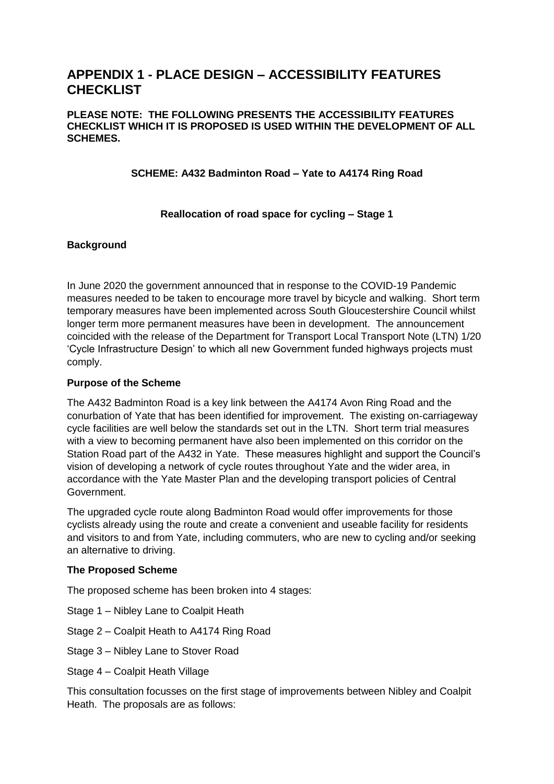# **APPENDIX 1 - PLACE DESIGN – ACCESSIBILITY FEATURES CHECKLIST**

#### **PLEASE NOTE: THE FOLLOWING PRESENTS THE ACCESSIBILITY FEATURES CHECKLIST WHICH IT IS PROPOSED IS USED WITHIN THE DEVELOPMENT OF ALL SCHEMES.**

### **SCHEME: A432 Badminton Road – Yate to A4174 Ring Road**

### **Reallocation of road space for cycling – Stage 1**

### **Background**

In June 2020 the government announced that in response to the COVID-19 Pandemic measures needed to be taken to encourage more travel by bicycle and walking. Short term temporary measures have been implemented across South Gloucestershire Council whilst longer term more permanent measures have been in development. The announcement coincided with the release of the Department for Transport Local Transport Note (LTN) 1/20 'Cycle Infrastructure Design' to which all new Government funded highways projects must comply.

### **Purpose of the Scheme**

The A432 Badminton Road is a key link between the A4174 Avon Ring Road and the conurbation of Yate that has been identified for improvement. The existing on-carriageway cycle facilities are well below the standards set out in the LTN. Short term trial measures with a view to becoming permanent have also been implemented on this corridor on the Station Road part of the A432 in Yate. These measures highlight and support the Council's vision of developing a network of cycle routes throughout Yate and the wider area, in accordance with the Yate Master Plan and the developing transport policies of Central Government.

The upgraded cycle route along Badminton Road would offer improvements for those cyclists already using the route and create a convenient and useable facility for residents and visitors to and from Yate, including commuters, who are new to cycling and/or seeking an alternative to driving.

### **The Proposed Scheme**

The proposed scheme has been broken into 4 stages:

- Stage 1 Nibley Lane to Coalpit Heath
- Stage 2 Coalpit Heath to A4174 Ring Road
- Stage 3 Nibley Lane to Stover Road
- Stage 4 Coalpit Heath Village

This consultation focusses on the first stage of improvements between Nibley and Coalpit Heath. The proposals are as follows: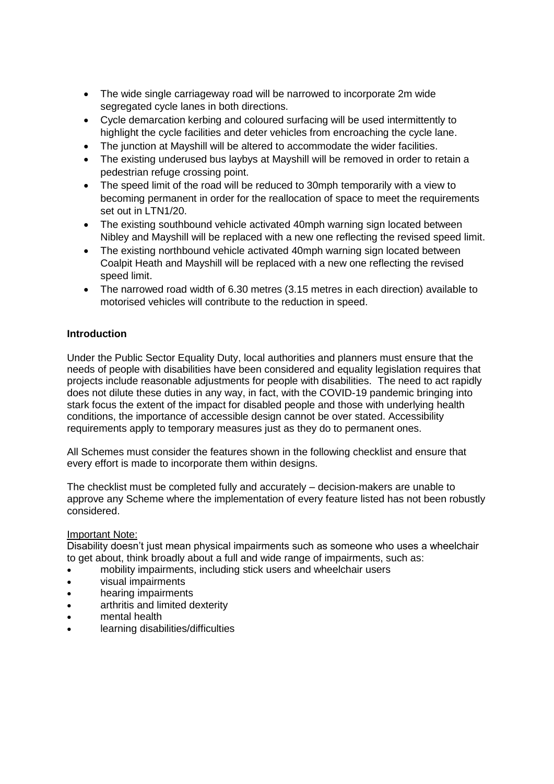- The wide single carriageway road will be narrowed to incorporate 2m wide segregated cycle lanes in both directions.
- Cycle demarcation kerbing and coloured surfacing will be used intermittently to highlight the cycle facilities and deter vehicles from encroaching the cycle lane.
- The junction at Mayshill will be altered to accommodate the wider facilities.
- The existing underused bus laybys at Mayshill will be removed in order to retain a pedestrian refuge crossing point.
- The speed limit of the road will be reduced to 30mph temporarily with a view to becoming permanent in order for the reallocation of space to meet the requirements set out in LTN1/20.
- The existing southbound vehicle activated 40mph warning sign located between Nibley and Mayshill will be replaced with a new one reflecting the revised speed limit.
- The existing northbound vehicle activated 40mph warning sign located between Coalpit Heath and Mayshill will be replaced with a new one reflecting the revised speed limit.
- The narrowed road width of 6.30 metres (3.15 metres in each direction) available to motorised vehicles will contribute to the reduction in speed.

### **Introduction**

Under the Public Sector Equality Duty, local authorities and planners must ensure that the needs of people with disabilities have been considered and equality legislation requires that projects include reasonable adjustments for people with disabilities. The need to act rapidly does not dilute these duties in any way, in fact, with the COVID-19 pandemic bringing into stark focus the extent of the impact for disabled people and those with underlying health conditions, the importance of accessible design cannot be over stated. Accessibility requirements apply to temporary measures just as they do to permanent ones.

All Schemes must consider the features shown in the following checklist and ensure that every effort is made to incorporate them within designs.

The checklist must be completed fully and accurately – decision-makers are unable to approve any Scheme where the implementation of every feature listed has not been robustly considered.

### Important Note:

Disability doesn't just mean physical impairments such as someone who uses a wheelchair to get about, think broadly about a full and wide range of impairments, such as:

- mobility impairments, including stick users and wheelchair users
- visual impairments
- hearing impairments
- arthritis and limited dexterity
- mental health
- learning disabilities/difficulties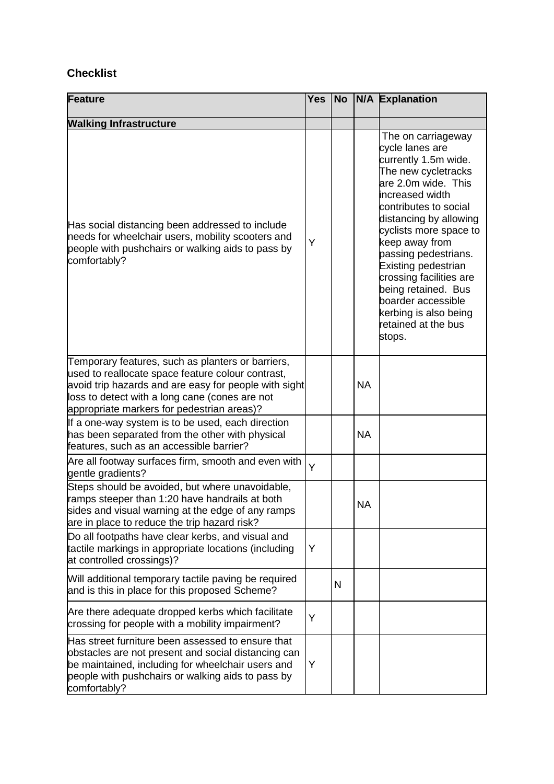# **Checklist**

| Feature                                                                                                                                                                                                                                                         | <b>Yes</b> |   |           | No N/A Explanation                                                                                                                                                                                                                                                                                                                                                                                             |
|-----------------------------------------------------------------------------------------------------------------------------------------------------------------------------------------------------------------------------------------------------------------|------------|---|-----------|----------------------------------------------------------------------------------------------------------------------------------------------------------------------------------------------------------------------------------------------------------------------------------------------------------------------------------------------------------------------------------------------------------------|
| <b>Walking Infrastructure</b>                                                                                                                                                                                                                                   |            |   |           |                                                                                                                                                                                                                                                                                                                                                                                                                |
| Has social distancing been addressed to include<br>needs for wheelchair users, mobility scooters and<br>people with pushchairs or walking aids to pass by<br>comfortably?                                                                                       | Y          |   |           | The on carriageway<br>cycle lanes are<br>currently 1.5m wide.<br>The new cycletracks<br>are 2.0m wide. This<br>increased width<br>contributes to social<br>distancing by allowing<br>cyclists more space to<br>keep away from<br>passing pedestrians.<br>Existing pedestrian<br>crossing facilities are<br>being retained. Bus<br>boarder accessible<br>kerbing is also being<br>retained at the bus<br>stops. |
| Temporary features, such as planters or barriers,<br>used to reallocate space feature colour contrast,<br>avoid trip hazards and are easy for people with sight<br>loss to detect with a long cane (cones are not<br>appropriate markers for pedestrian areas)? |            |   | <b>NA</b> |                                                                                                                                                                                                                                                                                                                                                                                                                |
| If a one-way system is to be used, each direction<br>has been separated from the other with physical<br>features, such as an accessible barrier?                                                                                                                |            |   | <b>NA</b> |                                                                                                                                                                                                                                                                                                                                                                                                                |
| Are all footway surfaces firm, smooth and even with<br>gentle gradients?                                                                                                                                                                                        | Y          |   |           |                                                                                                                                                                                                                                                                                                                                                                                                                |
| Steps should be avoided, but where unavoidable,<br>ramps steeper than 1:20 have handrails at both<br>sides and visual warning at the edge of any ramps<br>are in place to reduce the trip hazard risk?                                                          |            |   | <b>NA</b> |                                                                                                                                                                                                                                                                                                                                                                                                                |
| Do all footpaths have clear kerbs, and visual and<br>tactile markings in appropriate locations (including<br>at controlled crossings)?                                                                                                                          | Y          |   |           |                                                                                                                                                                                                                                                                                                                                                                                                                |
| Will additional temporary tactile paving be required<br>and is this in place for this proposed Scheme?                                                                                                                                                          |            | N |           |                                                                                                                                                                                                                                                                                                                                                                                                                |
| Are there adequate dropped kerbs which facilitate<br>crossing for people with a mobility impairment?                                                                                                                                                            | Y          |   |           |                                                                                                                                                                                                                                                                                                                                                                                                                |
| Has street furniture been assessed to ensure that<br>obstacles are not present and social distancing can<br>be maintained, including for wheelchair users and<br>people with pushchairs or walking aids to pass by<br>comfortably?                              | Y          |   |           |                                                                                                                                                                                                                                                                                                                                                                                                                |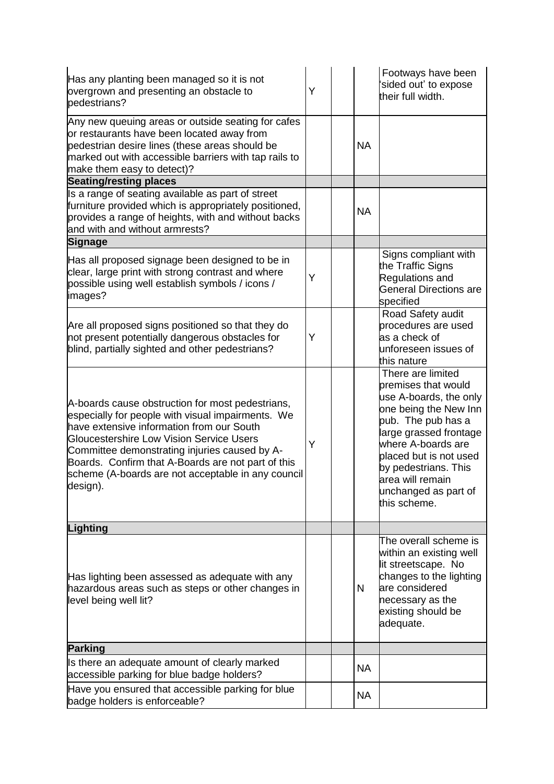| Has any planting been managed so it is not<br>overgrown and presenting an obstacle to<br>pedestrians?                                                                                                                                                                                                                                                                   | Y |           | Footways have been<br>sided out' to expose<br>their full width.                                                                                                                                                                                                                 |
|-------------------------------------------------------------------------------------------------------------------------------------------------------------------------------------------------------------------------------------------------------------------------------------------------------------------------------------------------------------------------|---|-----------|---------------------------------------------------------------------------------------------------------------------------------------------------------------------------------------------------------------------------------------------------------------------------------|
| Any new queuing areas or outside seating for cafes<br>or restaurants have been located away from<br>pedestrian desire lines (these areas should be<br>marked out with accessible barriers with tap rails to<br>make them easy to detect)?                                                                                                                               |   | <b>NA</b> |                                                                                                                                                                                                                                                                                 |
| <b>Seating/resting places</b>                                                                                                                                                                                                                                                                                                                                           |   |           |                                                                                                                                                                                                                                                                                 |
| Is a range of seating available as part of street<br>furniture provided which is appropriately positioned,<br>provides a range of heights, with and without backs<br>and with and without armrests?                                                                                                                                                                     |   | <b>NA</b> |                                                                                                                                                                                                                                                                                 |
| <b>Signage</b>                                                                                                                                                                                                                                                                                                                                                          |   |           |                                                                                                                                                                                                                                                                                 |
| Has all proposed signage been designed to be in<br>clear, large print with strong contrast and where<br>possible using well establish symbols / icons /<br>images?                                                                                                                                                                                                      | Y |           | Signs compliant with<br>the Traffic Signs<br>Regulations and<br><b>General Directions are</b><br>specified                                                                                                                                                                      |
| Are all proposed signs positioned so that they do<br>not present potentially dangerous obstacles for<br>blind, partially sighted and other pedestrians?                                                                                                                                                                                                                 | Y |           | Road Safety audit<br>procedures are used<br>as a check of<br>unforeseen issues of<br>this nature                                                                                                                                                                                |
| A-boards cause obstruction for most pedestrians,<br>especially for people with visual impairments. We<br>have extensive information from our South<br>Gloucestershire Low Vision Service Users<br>Committee demonstrating injuries caused by A-<br>Boards. Confirm that A-Boards are not part of this<br>scheme (A-boards are not acceptable in any council<br>design). | Y |           | There are limited<br>premises that would<br>use A-boards, the only<br>one being the New Inn<br>pub. The pub has a<br>large grassed frontage<br>where A-boards are<br>placed but is not used<br>by pedestrians. This<br>area will remain<br>unchanged as part of<br>this scheme. |
| Lighting                                                                                                                                                                                                                                                                                                                                                                |   |           |                                                                                                                                                                                                                                                                                 |
| Has lighting been assessed as adequate with any<br>hazardous areas such as steps or other changes in<br>level being well lit?                                                                                                                                                                                                                                           |   | N         | The overall scheme is<br>within an existing well<br>lit streetscape. No<br>changes to the lighting<br>are considered<br>necessary as the<br>existing should be<br>adequate.                                                                                                     |
| <b>Parking</b>                                                                                                                                                                                                                                                                                                                                                          |   |           |                                                                                                                                                                                                                                                                                 |
| Is there an adequate amount of clearly marked<br>accessible parking for blue badge holders?                                                                                                                                                                                                                                                                             |   | <b>NA</b> |                                                                                                                                                                                                                                                                                 |
| Have you ensured that accessible parking for blue<br>badge holders is enforceable?                                                                                                                                                                                                                                                                                      |   | <b>NA</b> |                                                                                                                                                                                                                                                                                 |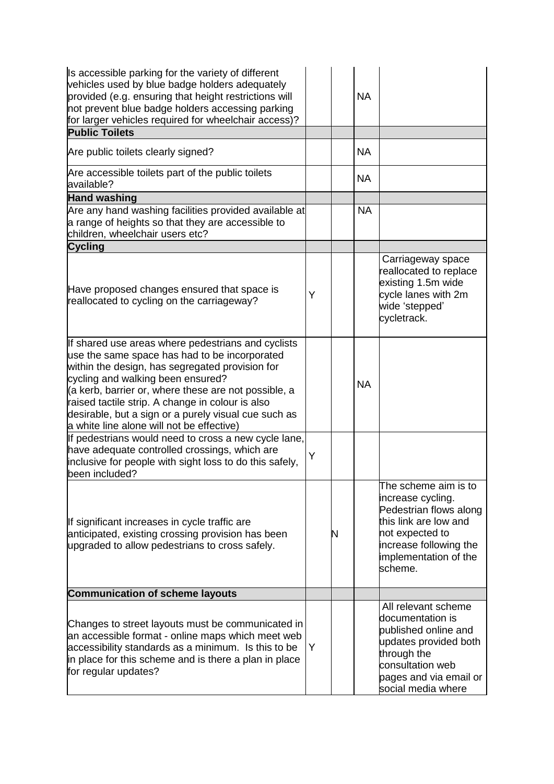| Is accessible parking for the variety of different<br>vehicles used by blue badge holders adequately<br>provided (e.g. ensuring that height restrictions will<br>not prevent blue badge holders accessing parking<br>for larger vehicles required for wheelchair access)?                                                                                                                                    |   |   | <b>NA</b> |                                                                                                                                                                               |
|--------------------------------------------------------------------------------------------------------------------------------------------------------------------------------------------------------------------------------------------------------------------------------------------------------------------------------------------------------------------------------------------------------------|---|---|-----------|-------------------------------------------------------------------------------------------------------------------------------------------------------------------------------|
| <b>Public Toilets</b>                                                                                                                                                                                                                                                                                                                                                                                        |   |   |           |                                                                                                                                                                               |
| Are public toilets clearly signed?                                                                                                                                                                                                                                                                                                                                                                           |   |   | <b>NA</b> |                                                                                                                                                                               |
| Are accessible toilets part of the public toilets<br>available?                                                                                                                                                                                                                                                                                                                                              |   |   | <b>NA</b> |                                                                                                                                                                               |
| <b>Hand washing</b>                                                                                                                                                                                                                                                                                                                                                                                          |   |   |           |                                                                                                                                                                               |
| Are any hand washing facilities provided available at<br>a range of heights so that they are accessible to<br>children, wheelchair users etc?                                                                                                                                                                                                                                                                |   |   | <b>NA</b> |                                                                                                                                                                               |
| <b>Cycling</b>                                                                                                                                                                                                                                                                                                                                                                                               |   |   |           |                                                                                                                                                                               |
| Have proposed changes ensured that space is<br>reallocated to cycling on the carriageway?                                                                                                                                                                                                                                                                                                                    | Y |   |           | Carriageway space<br>reallocated to replace<br>existing 1.5m wide<br>cycle lanes with 2m<br>wide 'stepped'<br>cycletrack.                                                     |
| If shared use areas where pedestrians and cyclists<br>use the same space has had to be incorporated<br>within the design, has segregated provision for<br>cycling and walking been ensured?<br>(a kerb, barrier or, where these are not possible, a<br>raised tactile strip. A change in colour is also<br>desirable, but a sign or a purely visual cue such as<br>a white line alone will not be effective) |   |   | <b>NA</b> |                                                                                                                                                                               |
| If pedestrians would need to cross a new cycle lane,<br>have adequate controlled crossings, which are<br>inclusive for people with sight loss to do this safely,<br>been included?                                                                                                                                                                                                                           | Y |   |           |                                                                                                                                                                               |
| If significant increases in cycle traffic are<br>anticipated, existing crossing provision has been<br>upgraded to allow pedestrians to cross safely.                                                                                                                                                                                                                                                         |   | Ν |           | The scheme aim is to<br>increase cycling.<br>Pedestrian flows along<br>this link are low and<br>not expected to<br>increase following the<br>implementation of the<br>scheme. |
| <b>Communication of scheme layouts</b>                                                                                                                                                                                                                                                                                                                                                                       |   |   |           |                                                                                                                                                                               |
| Changes to street layouts must be communicated in<br>an accessible format - online maps which meet web<br>accessibility standards as a minimum. Is this to be<br>in place for this scheme and is there a plan in place<br>for regular updates?                                                                                                                                                               | Y |   |           | All relevant scheme<br>documentation is<br>published online and<br>updates provided both<br>through the<br>consultation web<br>pages and via email or<br>social media where   |